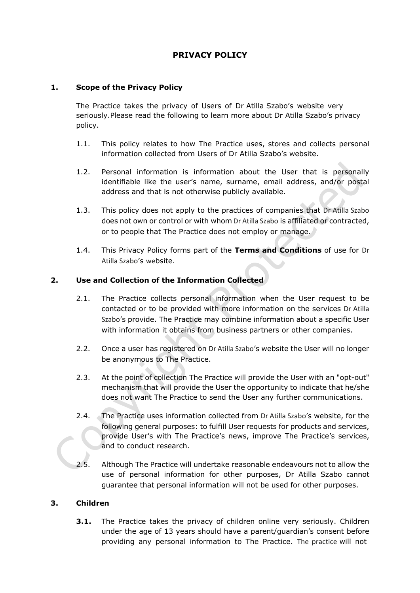# **PRIVACY POLICY**

## **1. Scope of the Privacy Policy**

The Practice takes the privacy of Users of Dr Atilla Szabo's website very seriously.Please read the following to learn more about Dr Atilla Szabo's privacy policy.

- 1.1. This policy relates to how The Practice uses, stores and collects personal information collected from Users of Dr Atilla Szabo's website.
- 1.2. Personal information is information about the User that is personally identifiable like the user's name, surname, email address, and/or postal address and that is not otherwise publicly available.
- 1.3. This policy does not apply to the practices of companies that Dr Atilla Szabo does not own or control or with whom Dr Atilla Szabo is affiliated or contracted, or to people that The Practice does not employ or manage.
- 1.4. This Privacy Policy forms part of the **[Terms and Conditions](http://www.checkers.co.za/pages/198763778/Terms-and-Conditions.asp)** of use for Dr Atilla Szabo's website.

## **2. Use and Collection of the Information Collected**

- 2.1. The Practice collects personal information when the User request to be contacted or to be provided with more information on the services Dr Atilla Szabo's provide. The Practice may combine information about a specific User with information it obtains from business partners or other companies.
- 2.2. Once a user has registered on Dr Atilla Szabo's website the User will no longer be anonymous to The Practice.
- 2.3. At the point of collection The Practice will provide the User with an "opt-out" mechanism that will provide the User the opportunity to indicate that he/she does not want The Practice to send the User any further communications.
- 2.4. The Practice uses information collected from Dr Atilla Szabo's website, for the following general purposes: to fulfill User requests for products and services, provide User's with The Practice's news, improve The Practice's services, and to conduct research.
- 2.5. Although The Practice will undertake reasonable endeavours not to allow the use of personal information for other purposes, Dr Atilla Szabo cannot guarantee that personal information will not be used for other purposes.

## **3. Children**

**3.1.** The Practice takes the privacy of children online very seriously. Children under the age of 13 years should have a parent/guardian's consent before providing any personal information to The Practice. The practice will not